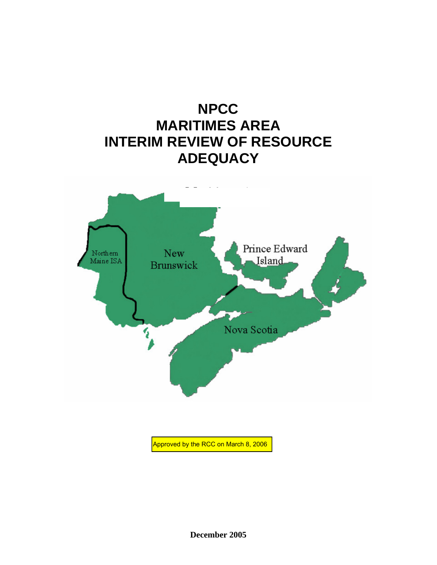

Approved by the RCC on March 8, 2006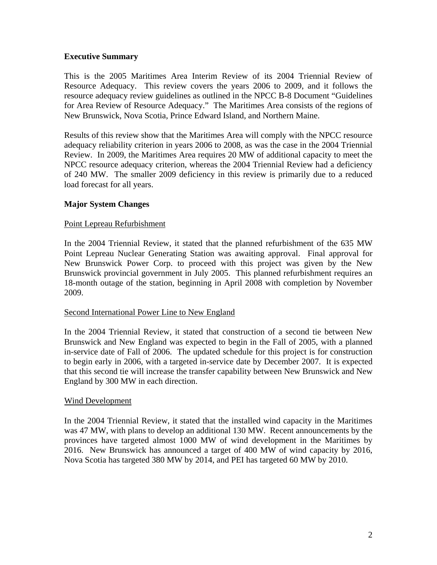# **Executive Summary**

This is the 2005 Maritimes Area Interim Review of its 2004 Triennial Review of Resource Adequacy. This review covers the years 2006 to 2009, and it follows the resource adequacy review guidelines as outlined in the NPCC B-8 Document "Guidelines for Area Review of Resource Adequacy." The Maritimes Area consists of the regions of New Brunswick, Nova Scotia, Prince Edward Island, and Northern Maine.

Results of this review show that the Maritimes Area will comply with the NPCC resource adequacy reliability criterion in years 2006 to 2008, as was the case in the 2004 Triennial Review. In 2009, the Maritimes Area requires 20 MW of additional capacity to meet the NPCC resource adequacy criterion, whereas the 2004 Triennial Review had a deficiency of 240 MW. The smaller 2009 deficiency in this review is primarily due to a reduced load forecast for all years.

# **Major System Changes**

# Point Lepreau Refurbishment

In the 2004 Triennial Review, it stated that the planned refurbishment of the 635 MW Point Lepreau Nuclear Generating Station was awaiting approval. Final approval for New Brunswick Power Corp. to proceed with this project was given by the New Brunswick provincial government in July 2005. This planned refurbishment requires an 18-month outage of the station, beginning in April 2008 with completion by November 2009.

# Second International Power Line to New England

In the 2004 Triennial Review, it stated that construction of a second tie between New Brunswick and New England was expected to begin in the Fall of 2005, with a planned in-service date of Fall of 2006. The updated schedule for this project is for construction to begin early in 2006, with a targeted in-service date by December 2007. It is expected that this second tie will increase the transfer capability between New Brunswick and New England by 300 MW in each direction.

#### Wind Development

In the 2004 Triennial Review, it stated that the installed wind capacity in the Maritimes was 47 MW, with plans to develop an additional 130 MW. Recent announcements by the provinces have targeted almost 1000 MW of wind development in the Maritimes by 2016. New Brunswick has announced a target of 400 MW of wind capacity by 2016, Nova Scotia has targeted 380 MW by 2014, and PEI has targeted 60 MW by 2010.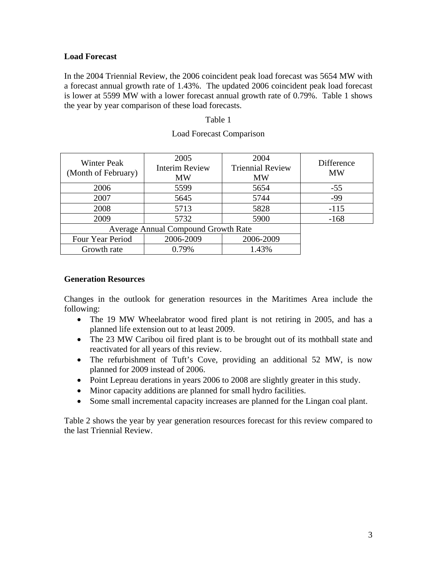# **Load Forecast**

In the 2004 Triennial Review, the 2006 coincident peak load forecast was 5654 MW with a forecast annual growth rate of 1.43%. The updated 2006 coincident peak load forecast is lower at 5599 MW with a lower forecast annual growth rate of 0.79%. Table 1 shows the year by year comparison of these load forecasts.

#### Table 1

| <b>Winter Peak</b><br>(Month of February)  | 2005<br><b>Interim Review</b><br><b>MW</b> | 2004<br><b>Triennial Review</b><br><b>MW</b> | Difference<br><b>MW</b> |
|--------------------------------------------|--------------------------------------------|----------------------------------------------|-------------------------|
| 2006                                       | 5599                                       | 5654                                         | $-55$                   |
| 2007                                       | 5645                                       | 5744                                         | -99                     |
| 2008                                       | 5713                                       | 5828                                         | $-115$                  |
| 2009                                       | 5732                                       | 5900                                         | $-168$                  |
| <b>Average Annual Compound Growth Rate</b> |                                            |                                              |                         |
| Four Year Period                           | 2006-2009                                  | 2006-2009                                    |                         |
| Growth rate                                | 0.79%                                      | 1.43%                                        |                         |

# Load Forecast Comparison

### **Generation Resources**

Changes in the outlook for generation resources in the Maritimes Area include the following:

- The 19 MW Wheelabrator wood fired plant is not retiring in 2005, and has a planned life extension out to at least 2009.
- The 23 MW Caribou oil fired plant is to be brought out of its mothball state and reactivated for all years of this review.
- The refurbishment of Tuft's Cove, providing an additional 52 MW, is now planned for 2009 instead of 2006.
- Point Lepreau derations in years 2006 to 2008 are slightly greater in this study.
- Minor capacity additions are planned for small hydro facilities.
- Some small incremental capacity increases are planned for the Lingan coal plant.

Table 2 shows the year by year generation resources forecast for this review compared to the last Triennial Review.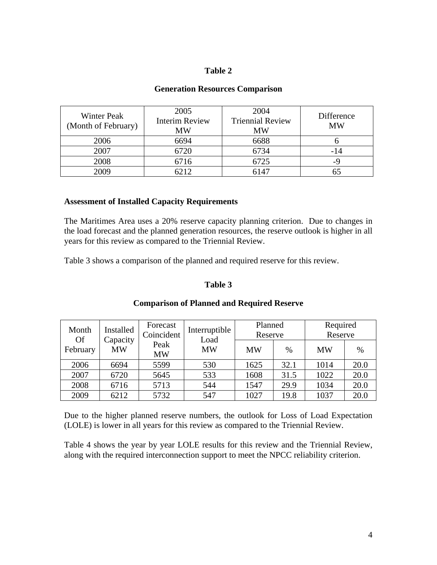# **Table 2**

### **Generation Resources Comparison**

| <b>Winter Peak</b><br>(Month of February) | 2005<br><b>Interim Review</b><br>MW | 2004<br><b>Triennial Review</b><br><b>MW</b> | Difference<br><b>MW</b> |
|-------------------------------------------|-------------------------------------|----------------------------------------------|-------------------------|
| 2006                                      | 6694                                | 6688                                         |                         |
| 2007                                      | 6720                                | 6734                                         | -14                     |
| 2008                                      | 6716                                | 6725                                         | -9                      |
| 2009                                      | 6212                                | 6147                                         |                         |

#### **Assessment of Installed Capacity Requirements**

The Maritimes Area uses a 20% reserve capacity planning criterion. Due to changes in the load forecast and the planned generation resources, the reserve outlook is higher in all years for this review as compared to the Triennial Review.

Table 3 shows a comparison of the planned and required reserve for this review.

# **Table 3**

| Installed<br>Month    | Forecast<br>Coincident | Interruptible     | Planned<br>Reserve |           | Required<br>Reserve |           |      |
|-----------------------|------------------------|-------------------|--------------------|-----------|---------------------|-----------|------|
| <b>Of</b><br>February | Capacity<br><b>MW</b>  | Peak<br><b>MW</b> | Load<br><b>MW</b>  | <b>MW</b> | %                   | <b>MW</b> | $\%$ |
| 2006                  | 6694                   | 5599              | 530                | 1625      | 32.1                | 1014      | 20.0 |
| 2007                  | 6720                   | 5645              | 533                | 1608      | 31.5                | 1022      | 20.0 |
| 2008                  | 6716                   | 5713              | 544                | 1547      | 29.9                | 1034      | 20.0 |
| 2009                  | 6212                   | 5732              | 547                | 1027      | 19.8                | 1037      | 20.0 |

#### **Comparison of Planned and Required Reserve**

Due to the higher planned reserve numbers, the outlook for Loss of Load Expectation (LOLE) is lower in all years for this review as compared to the Triennial Review.

Table 4 shows the year by year LOLE results for this review and the Triennial Review, along with the required interconnection support to meet the NPCC reliability criterion.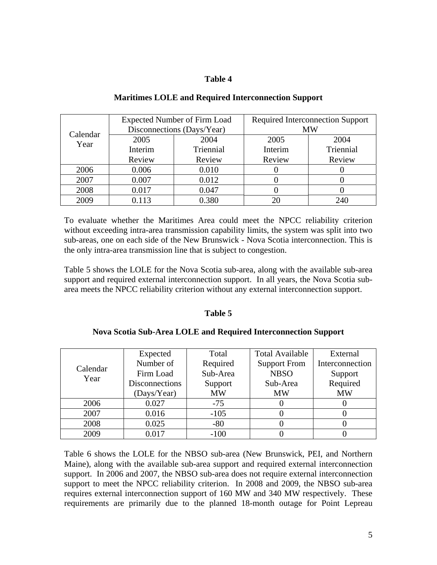# **Table 4**

|          | <b>Expected Number of Firm Load</b> |           | <b>Required Interconnection Support</b> |           |  |
|----------|-------------------------------------|-----------|-----------------------------------------|-----------|--|
| Calendar | Disconnections (Days/Year)          |           | <b>MW</b>                               |           |  |
| Year     | 2005                                | 2004      | 2005                                    | 2004      |  |
|          | Interim                             | Triennial | Interim                                 | Triennial |  |
|          | Review                              | Review    | Review                                  | Review    |  |
| 2006     | 0.006                               | 0.010     |                                         |           |  |
| 2007     | 0.007                               | 0.012     |                                         |           |  |
| 2008     | 0.017                               | 0.047     |                                         |           |  |
| 2009     | 0.113                               | 0.380     |                                         | 240       |  |

# **Maritimes LOLE and Required Interconnection Support**

To evaluate whether the Maritimes Area could meet the NPCC reliability criterion without exceeding intra-area transmission capability limits, the system was split into two sub-areas, one on each side of the New Brunswick - Nova Scotia interconnection. This is the only intra-area transmission line that is subject to congestion.

Table 5 shows the LOLE for the Nova Scotia sub-area, along with the available sub-area support and required external interconnection support. In all years, the Nova Scotia subarea meets the NPCC reliability criterion without any external interconnection support.

# **Table 5**

# **Nova Scotia Sub-Area LOLE and Required Interconnection Support**

|                  | Expected              | Total     | <b>Total Available</b> | External        |
|------------------|-----------------------|-----------|------------------------|-----------------|
| Calendar<br>Year | Number of             | Required  | <b>Support From</b>    | Interconnection |
|                  | Firm Load             | Sub-Area  | <b>NBSO</b>            | Support         |
|                  | <b>Disconnections</b> | Support   | Sub-Area               | Required        |
|                  | (Days/Year)           | <b>MW</b> | <b>MW</b>              | <b>MW</b>       |
| 2006             | 0.027                 | $-75$     |                        |                 |
| 2007             | 0.016                 | $-105$    |                        |                 |
| 2008             | 0.025                 | $-80$     |                        |                 |
| 2009             | 0.017                 | $-100$    |                        |                 |

Table 6 shows the LOLE for the NBSO sub-area (New Brunswick, PEI, and Northern Maine), along with the available sub-area support and required external interconnection support. In 2006 and 2007, the NBSO sub-area does not require external interconnection support to meet the NPCC reliability criterion. In 2008 and 2009, the NBSO sub-area requires external interconnection support of 160 MW and 340 MW respectively. These requirements are primarily due to the planned 18-month outage for Point Lepreau